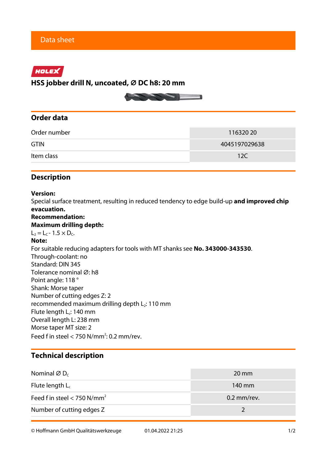# HOLEX

**HSS jobber drill N, uncoated, ⌀ DC h8: 20 mm**



## **Order data**

| Order number | 11632020      |  |
|--------------|---------------|--|
| <b>GTIN</b>  | 4045197029638 |  |
| Item class   | 12C           |  |

## **Description**

## **Version:**

Special surface treatment, resulting in reduced tendency to edge build-up **and improved chip evacuation.**

## **Recommendation:**

#### **Maximum drilling depth:**

 $L_2 = L_C - 1.5 \times D_C$ .

### **Note:**

For suitable reducing adapters for tools with MT shanks see **No. 343000-343530**. Through-coolant: no Standard: DIN 345 Tolerance nominal Ø: h8 Point angle: 118 ° Shank: Morse taper Number of cutting edges Z: 2 recommended maximum drilling depth  $L_2$ : 110 mm Flute length L<sub>c</sub>: 140 mm Overall length L: 238 mm Morse taper MT size: 2 Feed f in steel  $<$  750 N/mm<sup>2</sup>: 0.2 mm/rev.

## **Technical description**

| Nominal $\varnothing$ D <sub>c</sub>      | $20 \text{ mm}$ |
|-------------------------------------------|-----------------|
| Flute length $L_c$                        | 140 mm          |
| Feed f in steel $<$ 750 N/mm <sup>2</sup> | $0.2$ mm/rev.   |
| Number of cutting edges Z                 |                 |

© Hoffmann GmbH Qualitätswerkzeuge 01.04.2022 21:25 1/2